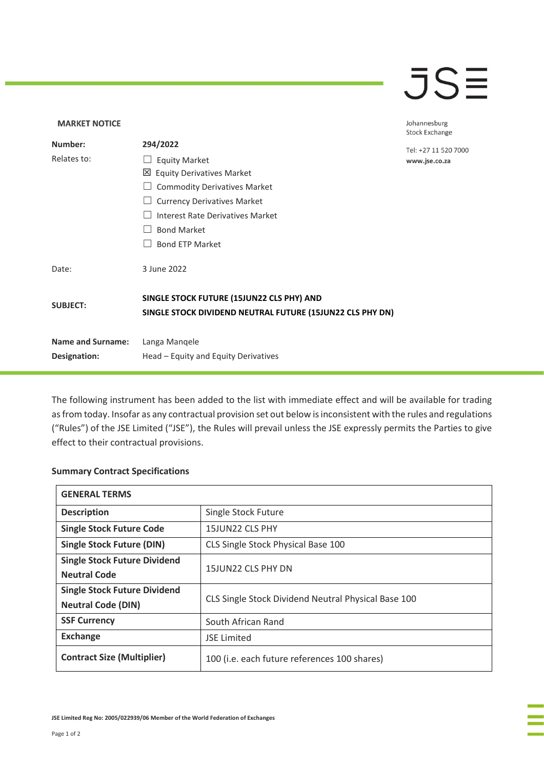## $\overline{\mathsf{J}}\mathsf{S}\overline{\mathsf{H}}$

## **MARKET NOTICE** Johannesburg **Stock Exchange Number: 294/2022** Tel: +27 11 520 7000 Relates to: □ Equity Market www.jse.co.za Equity Derivatives Market ☐ Commodity Derivatives Market □ Currency Derivatives Market ☐ Interest Rate Derivatives Market ☐ Bond Market □ Bond ETP Market Date: 3 June 2022 **SINGLE STOCK FUTURE (15JUN22 CLS PHY) AND SUBJECT: SINGLE STOCK DIVIDEND NEUTRAL FUTURE (15JUN22 CLS PHY DN) Name and Surname:** Langa Manqele **Designation:** Head – Equity and Equity Derivatives

The following instrument has been added to the list with immediate effect and will be available for trading as from today. Insofar as any contractual provision set out below is inconsistent with the rules and regulations ("Rules") of the JSE Limited ("JSE"), the Rules will prevail unless the JSE expressly permits the Parties to give effect to their contractual provisions.

## **Summary Contract Specifications**

| <b>GENERAL TERMS</b>                |                                                     |
|-------------------------------------|-----------------------------------------------------|
| <b>Description</b>                  | Single Stock Future                                 |
| <b>Single Stock Future Code</b>     | 15JUN22 CLS PHY                                     |
| <b>Single Stock Future (DIN)</b>    | CLS Single Stock Physical Base 100                  |
| <b>Single Stock Future Dividend</b> | 15JUN22 CLS PHY DN                                  |
| <b>Neutral Code</b>                 |                                                     |
| <b>Single Stock Future Dividend</b> | CLS Single Stock Dividend Neutral Physical Base 100 |
| <b>Neutral Code (DIN)</b>           |                                                     |
| <b>SSF Currency</b>                 | South African Rand                                  |
| <b>Exchange</b>                     | <b>JSE Limited</b>                                  |
| <b>Contract Size (Multiplier)</b>   | 100 (i.e. each future references 100 shares)        |

**JSE Limited Reg No: 2005/022939/06 Member of the World Federation of Exchanges**